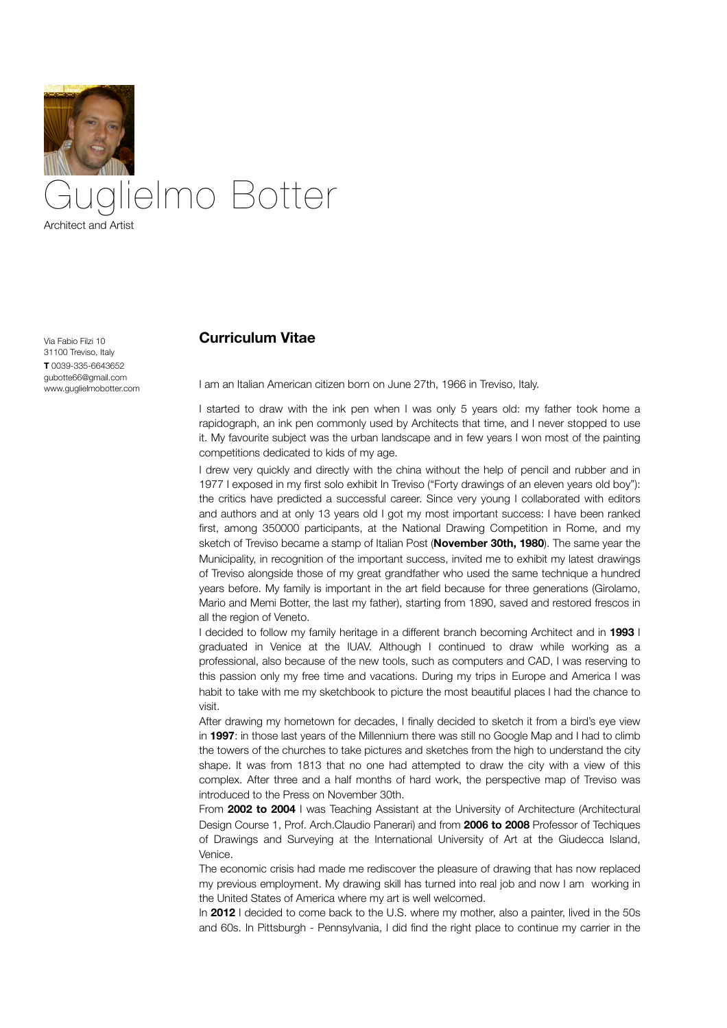

Via Fabio Filzi 10 31100 Treviso, Italy **T** 0039-335-6643652 gubotte66@gmail.com www.guglielmobotter.com

#### **Curriculum Vitae**

I am an Italian American citizen born on June 27th, 1966 in Treviso, Italy.

I started to draw with the ink pen when I was only 5 years old: my father took home a rapidograph, an ink pen commonly used by Architects that time, and I never stopped to use it. My favourite subject was the urban landscape and in few years I won most of the painting competitions dedicated to kids of my age.

I drew very quickly and directly with the china without the help of pencil and rubber and in 1977 I exposed in my first solo exhibit In Treviso ("Forty drawings of an eleven years old boy"): the critics have predicted a successful career. Since very young I collaborated with editors and authors and at only 13 years old I got my most important success: I have been ranked first, among 350000 participants, at the National Drawing Competition in Rome, and my sketch of Treviso became a stamp of Italian Post (**November 30th, 1980**). The same year the Municipality, in recognition of the important success, invited me to exhibit my latest drawings of Treviso alongside those of my great grandfather who used the same technique a hundred years before. My family is important in the art field because for three generations (Girolamo, Mario and Memi Botter, the last my father), starting from 1890, saved and restored frescos in all the region of Veneto.

I decided to follow my family heritage in a different branch becoming Architect and in **1993** I graduated in Venice at the IUAV. Although I continued to draw while working as a professional, also because of the new tools, such as computers and CAD, I was reserving to this passion only my free time and vacations. During my trips in Europe and America I was habit to take with me my sketchbook to picture the most beautiful places I had the chance to visit.

After drawing my hometown for decades, I finally decided to sketch it from a bird's eye view in **1997**: in those last years of the Millennium there was still no Google Map and I had to climb the towers of the churches to take pictures and sketches from the high to understand the city shape. It was from 1813 that no one had attempted to draw the city with a view of this complex. After three and a half months of hard work, the perspective map of Treviso was introduced to the Press on November 30th.

From **2002 to 2004** I was Teaching Assistant at the University of Architecture (Architectural Design Course 1, Prof. Arch.Claudio Panerari) and from **2006 to 2008** Professor of Techiques of Drawings and Surveying at the International University of Art at the Giudecca Island, Venice.

The economic crisis had made me rediscover the pleasure of drawing that has now replaced my previous employment. My drawing skill has turned into real job and now I am working in the United States of America where my art is well welcomed.

In **2012** I decided to come back to the U.S. where my mother, also a painter, lived in the 50s and 60s. In Pittsburgh - Pennsylvania, I did find the right place to continue my carrier in the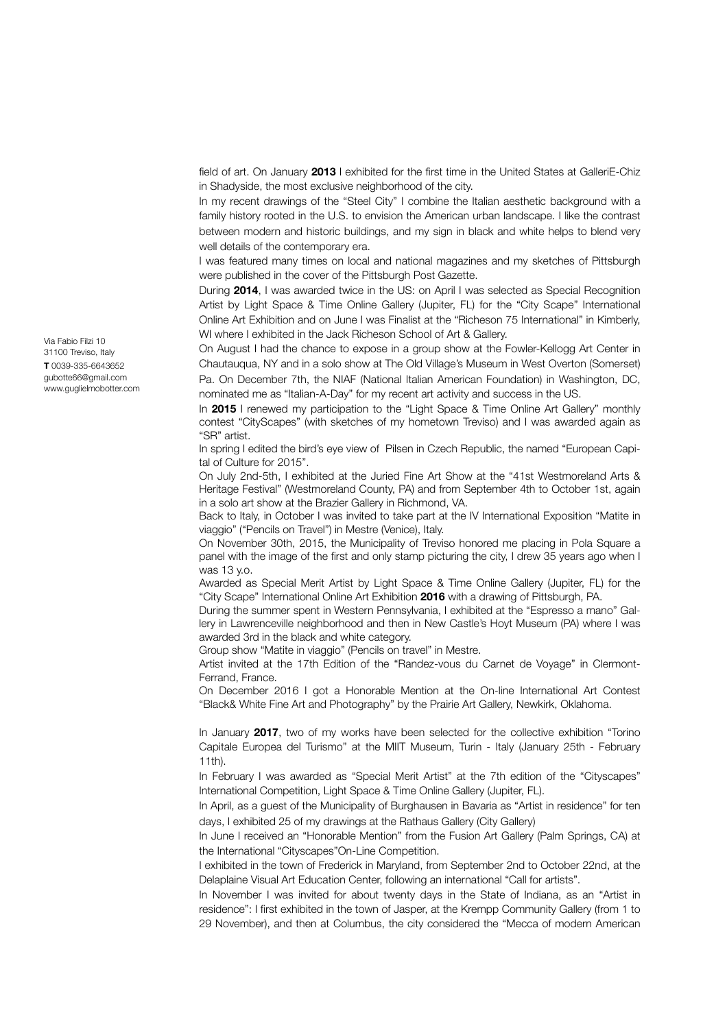field of art. On January **2013** I exhibited for the first time in the United States at GalleriE-Chiz in Shadyside, the most exclusive neighborhood of the city.

In my recent drawings of the "Steel City" I combine the Italian aesthetic background with a family history rooted in the U.S. to envision the American urban landscape. I like the contrast between modern and historic buildings, and my sign in black and white helps to blend very well details of the contemporary era.

I was featured many times on local and national magazines and my sketches of Pittsburgh were published in the cover of the Pittsburgh Post Gazette.

During **2014**, I was awarded twice in the US: on April I was selected as Special Recognition Artist by Light Space & Time Online Gallery (Jupiter, FL) for the "City Scape" International Online Art Exhibition and on June I was Finalist at the "Richeson 75 International" in Kimberly, WI where I exhibited in the Jack Richeson School of Art & Gallery.

On August I had the chance to expose in a group show at the Fowler-Kellogg Art Center in Chautauqua, NY and in a solo show at The Old Village's Museum in West Overton (Somerset)

Pa. On December 7th, the NIAF (National Italian American Foundation) in Washington, DC, nominated me as "Italian-A-Day" for my recent art activity and success in the US.

In **2015** I renewed my participation to the "Light Space & Time Online Art Gallery" monthly contest "CityScapes" (with sketches of my hometown Treviso) and I was awarded again as "SR" artist.

In spring I edited the bird's eye view of Pilsen in Czech Republic, the named "European Capital of Culture for 2015".

On July 2nd-5th, I exhibited at the Juried Fine Art Show at the "41st Westmoreland Arts & Heritage Festival" (Westmoreland County, PA) and from September 4th to October 1st, again in a solo art show at the Brazier Gallery in Richmond, VA.

Back to Italy, in October I was invited to take part at the IV International Exposition "Matite in viaggio" ("Pencils on Travel") in Mestre (Venice), Italy.

On November 30th, 2015, the Municipality of Treviso honored me placing in Pola Square a panel with the image of the first and only stamp picturing the city, I drew 35 years ago when I was 13 y.o.

Awarded as Special Merit Artist by Light Space & Time Online Gallery (Jupiter, FL) for the "City Scape" International Online Art Exhibition **2016** with a drawing of Pittsburgh, PA.

During the summer spent in Western Pennsylvania, I exhibited at the "Espresso a mano" Gallery in Lawrenceville neighborhood and then in New Castle's Hoyt Museum (PA) where I was awarded 3rd in the black and white category.

Group show "Matite in viaggio" (Pencils on travel" in Mestre.

Artist invited at the 17th Edition of the "Randez-vous du Carnet de Voyage" in Clermont-Ferrand, France.

On December 2016 I got a Honorable Mention at the On-line International Art Contest "Black& White Fine Art and Photography" by the Prairie Art Gallery, Newkirk, Oklahoma.

In January **2017**, two of my works have been selected for the collective exhibition "Torino Capitale Europea del Turismo" at the MIIT Museum, Turin - Italy (January 25th - February 11th).

In February I was awarded as "Special Merit Artist" at the 7th edition of the "Cityscapes" International Competition, Light Space & Time Online Gallery (Jupiter, FL).

In April, as a guest of the Municipality of Burghausen in Bavaria as "Artist in residence" for ten days, I exhibited 25 of my drawings at the Rathaus Gallery (City Gallery)

In June I received an "Honorable Mention" from the Fusion Art Gallery (Palm Springs, CA) at the International "Cityscapes"On-Line Competition.

I exhibited in the town of Frederick in Maryland, from September 2nd to October 22nd, at the Delaplaine Visual Art Education Center, following an international "Call for artists".

In November I was invited for about twenty days in the State of Indiana, as an "Artist in residence": I first exhibited in the town of Jasper, at the Krempp Community Gallery (from 1 to 29 November), and then at Columbus, the city considered the "Mecca of modern American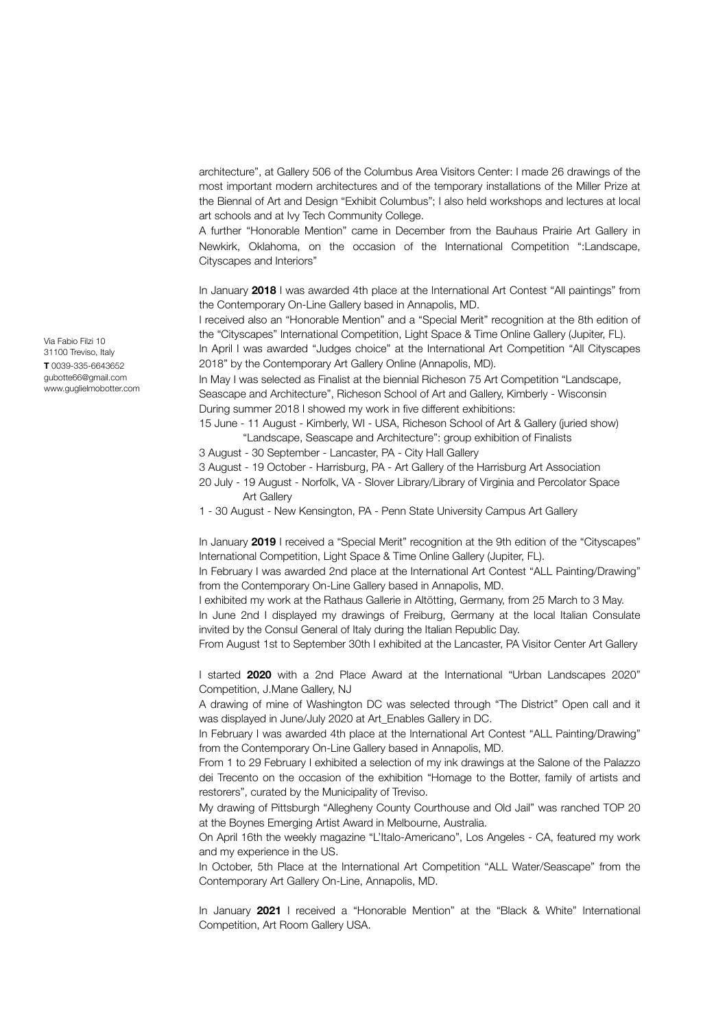architecture", at Gallery 506 of the Columbus Area Visitors Center: I made 26 drawings of the most important modern architectures and of the temporary installations of the Miller Prize at the Biennal of Art and Design "Exhibit Columbus"; I also held workshops and lectures at local art schools and at Ivy Tech Community College.

A further "Honorable Mention" came in December from the Bauhaus Prairie Art Gallery in Newkirk, Oklahoma, on the occasion of the International Competition ":Landscape, Cityscapes and Interiors"

In January **2018** I was awarded 4th place at the International Art Contest "All paintings" from the Contemporary On-Line Gallery based in Annapolis, MD.

I received also an "Honorable Mention" and a "Special Merit" recognition at the 8th edition of the "Cityscapes" International Competition, Light Space & Time Online Gallery (Jupiter, FL).

In April I was awarded "Judges choice" at the International Art Competition "All Cityscapes 2018" by the Contemporary Art Gallery Online (Annapolis, MD).

In May I was selected as Finalist at the biennial Richeson 75 Art Competition "Landscape, Seascape and Architecture", Richeson School of Art and Gallery, Kimberly - Wisconsin During summer 2018 I showed my work in five different exhibitions:

15 June - 11 August - Kimberly, WI - USA, Richeson School of Art & Gallery (juried show) "Landscape, Seascape and Architecture": group exhibition of Finalists

3 August - 30 September - Lancaster, PA - City Hall Gallery

3 August - 19 October - Harrisburg, PA - Art Gallery of the Harrisburg Art Association

20 July - 19 August - Norfolk, VA - Slover Library/Library of Virginia and Percolator Space Art Gallery

1 - 30 August - New Kensington, PA - Penn State University Campus Art Gallery

In January **2019** I received a "Special Merit" recognition at the 9th edition of the "Cityscapes" International Competition, Light Space & Time Online Gallery (Jupiter, FL).

In February I was awarded 2nd place at the International Art Contest "ALL Painting/Drawing" from the Contemporary On-Line Gallery based in Annapolis, MD.

I exhibited my work at the Rathaus Gallerie in Altötting, Germany, from 25 March to 3 May. In June 2nd I displayed my drawings of Freiburg, Germany at the local Italian Consulate invited by the Consul General of Italy during the Italian Republic Day.

From August 1st to September 30th I exhibited at the Lancaster, PA Visitor Center Art Gallery

I started **2020** with a 2nd Place Award at the International "Urban Landscapes 2020" Competition, J.Mane Gallery, NJ

A drawing of mine of Washington DC was selected through "The District" Open call and it was displayed in June/July 2020 at Art\_Enables Gallery in DC.

In February I was awarded 4th place at the International Art Contest "ALL Painting/Drawing" from the Contemporary On-Line Gallery based in Annapolis, MD.

From 1 to 29 February I exhibited a selection of my ink drawings at the Salone of the Palazzo dei Trecento on the occasion of the exhibition "Homage to the Botter, family of artists and restorers", curated by the Municipality of Treviso.

My drawing of Pittsburgh "Allegheny County Courthouse and Old Jail" was ranched TOP 20 at the Boynes Emerging Artist Award in Melbourne, Australia.

On April 16th the weekly magazine "L'Italo-Americano", Los Angeles - CA, featured my work and my experience in the US.

In October, 5th Place at the International Art Competition "ALL Water/Seascape" from the Contemporary Art Gallery On-Line, Annapolis, MD.

In January **2021** I received a "Honorable Mention" at the "Black & White" International Competition, Art Room Gallery USA.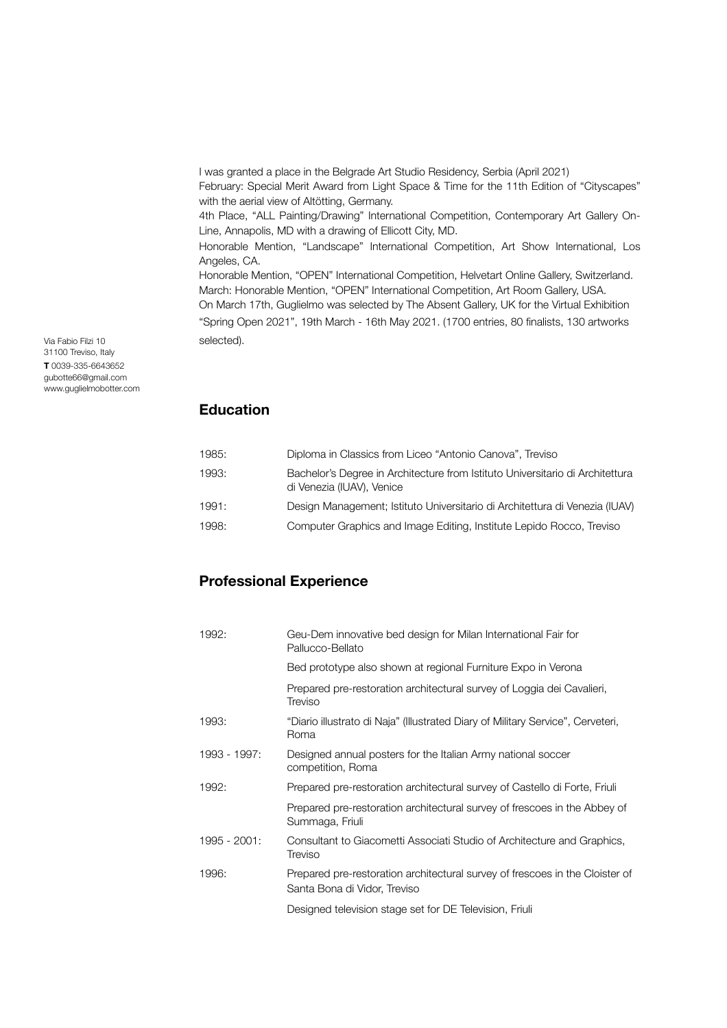I was granted a place in the Belgrade Art Studio Residency, Serbia (April 2021) February: Special Merit Award from Light Space & Time for the 11th Edition of "Cityscapes" with the aerial view of Altötting, Germany. 4th Place, "ALL Painting/Drawing" International Competition, Contemporary Art Gallery On-Line, Annapolis, MD with a drawing of Ellicott City, MD. Honorable Mention, "Landscape" International Competition, Art Show International, Los Angeles, CA. Honorable Mention, "OPEN" International Competition, Helvetart Online Gallery, Switzerland. March: Honorable Mention, "OPEN" International Competition, Art Room Gallery, USA.

On March 17th, Guglielmo was selected by The Absent Gallery, UK for the Virtual Exhibition "Spring Open 2021", 19th March - 16th May 2021. (1700 entries, 80 finalists, 130 artworks selected).

Via Fabio Filzi 10 31100 Treviso, Italy **T** 0039-335-6643652 gubotte66@gmail.com www.guglielmobotter.com

#### **Education**

| 1993:<br>di Venezia (IUAV), Venice<br>1991:<br>Computer Graphics and Image Editing, Institute Lepido Rocco, Treviso<br>1998: | 1985: | Diploma in Classics from Liceo "Antonio Canova", Treviso                      |
|------------------------------------------------------------------------------------------------------------------------------|-------|-------------------------------------------------------------------------------|
|                                                                                                                              |       | Bachelor's Degree in Architecture from Istituto Universitario di Architettura |
|                                                                                                                              |       | Design Management; Istituto Universitario di Architettura di Venezia (IUAV)   |
|                                                                                                                              |       |                                                                               |

#### **Professional Experience**

| 1992:        | Geu-Dem innovative bed design for Milan International Fair for<br>Pallucco-Bellato                           |  |  |
|--------------|--------------------------------------------------------------------------------------------------------------|--|--|
|              | Bed prototype also shown at regional Furniture Expo in Verona                                                |  |  |
|              | Prepared pre-restoration architectural survey of Loggia dei Cavalieri,<br>Treviso                            |  |  |
| 1993:        | "Diario illustrato di Naja" (Illustrated Diary of Military Service", Cerveteri,<br>Roma                      |  |  |
| 1993 - 1997: | Designed annual posters for the Italian Army national soccer<br>competition, Roma                            |  |  |
| 1992:        | Prepared pre-restoration architectural survey of Castello di Forte, Friuli                                   |  |  |
|              | Prepared pre-restoration architectural survey of frescoes in the Abbey of<br>Summaga, Friuli                 |  |  |
| 1995 - 2001: | Consultant to Giacometti Associati Studio of Architecture and Graphics,<br>Treviso                           |  |  |
| 1996:        | Prepared pre-restoration architectural survey of frescoes in the Cloister of<br>Santa Bona di Vidor, Treviso |  |  |
|              | Designed television stage set for DE Television, Friuli                                                      |  |  |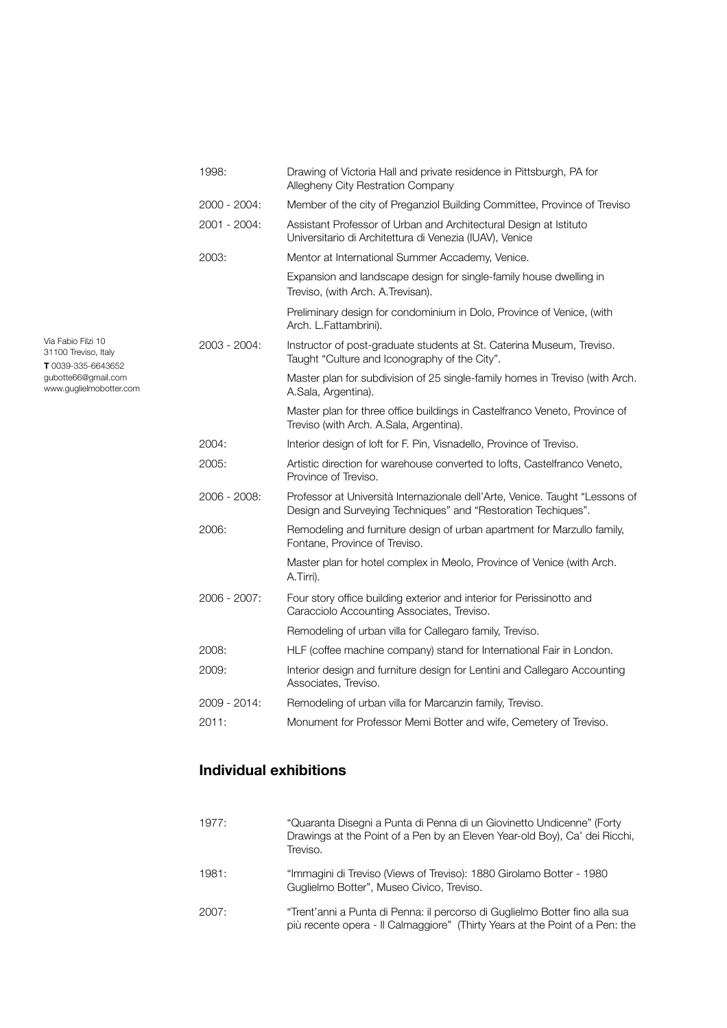| 1998:        | Drawing of Victoria Hall and private residence in Pittsburgh, PA for<br>Allegheny City Restration Company                                     |
|--------------|-----------------------------------------------------------------------------------------------------------------------------------------------|
| 2000 - 2004: | Member of the city of Preganziol Building Committee, Province of Treviso                                                                      |
| 2001 - 2004: | Assistant Professor of Urban and Architectural Design at Istituto<br>Universitario di Architettura di Venezia (IUAV), Venice                  |
| 2003:        | Mentor at International Summer Accademy, Venice.                                                                                              |
|              | Expansion and landscape design for single-family house dwelling in<br>Treviso, (with Arch. A.Trevisan).                                       |
|              | Preliminary design for condominium in Dolo, Province of Venice, (with<br>Arch. L.Fattambrini).                                                |
| 2003 - 2004: | Instructor of post-graduate students at St. Caterina Museum, Treviso.<br>Taught "Culture and Iconography of the City".                        |
|              | Master plan for subdivision of 25 single-family homes in Treviso (with Arch.<br>A.Sala, Argentina).                                           |
|              | Master plan for three office buildings in Castelfranco Veneto, Province of<br>Treviso (with Arch. A.Sala, Argentina).                         |
| 2004:        | Interior design of loft for F. Pin, Visnadello, Province of Treviso.                                                                          |
| 2005:        | Artistic direction for warehouse converted to lofts, Castelfranco Veneto,<br>Province of Treviso.                                             |
| 2006 - 2008: | Professor at Università Internazionale dell'Arte, Venice. Taught "Lessons of<br>Design and Surveying Techniques" and "Restoration Techiques". |
| 2006:        | Remodeling and furniture design of urban apartment for Marzullo family,<br>Fontane, Province of Treviso.                                      |
|              | Master plan for hotel complex in Meolo, Province of Venice (with Arch.<br>A.Tirri).                                                           |
| 2006 - 2007: | Four story office building exterior and interior for Perissinotto and<br>Caracciolo Accounting Associates, Treviso.                           |
|              | Remodeling of urban villa for Callegaro family, Treviso.                                                                                      |
| 2008:        | HLF (coffee machine company) stand for International Fair in London.                                                                          |
| 2009:        | Interior design and furniture design for Lentini and Callegaro Accounting<br>Associates, Treviso.                                             |
| 2009 - 2014: | Remodeling of urban villa for Marcanzin family, Treviso.                                                                                      |
| 2011:        | Monument for Professor Memi Botter and wife, Cemetery of Treviso.                                                                             |

## **Individual exhibitions**

| 1977: | "Quaranta Disegni a Punta di Penna di un Giovinetto Undicenne" (Forty<br>Drawings at the Point of a Pen by an Eleven Year-old Boy), Ca' dei Ricchi,<br>Treviso. |
|-------|-----------------------------------------------------------------------------------------------------------------------------------------------------------------|
| 1981: | "Immagini di Treviso (Views of Treviso): 1880 Girolamo Botter - 1980<br>Guglielmo Botter", Museo Civico, Treviso.                                               |
| 2007: | "Trent'anni a Punta di Penna: il percorso di Guglielmo Botter fino alla sua<br>più recente opera - Il Calmaggiore" (Thirty Years at the Point of a Pen: the     |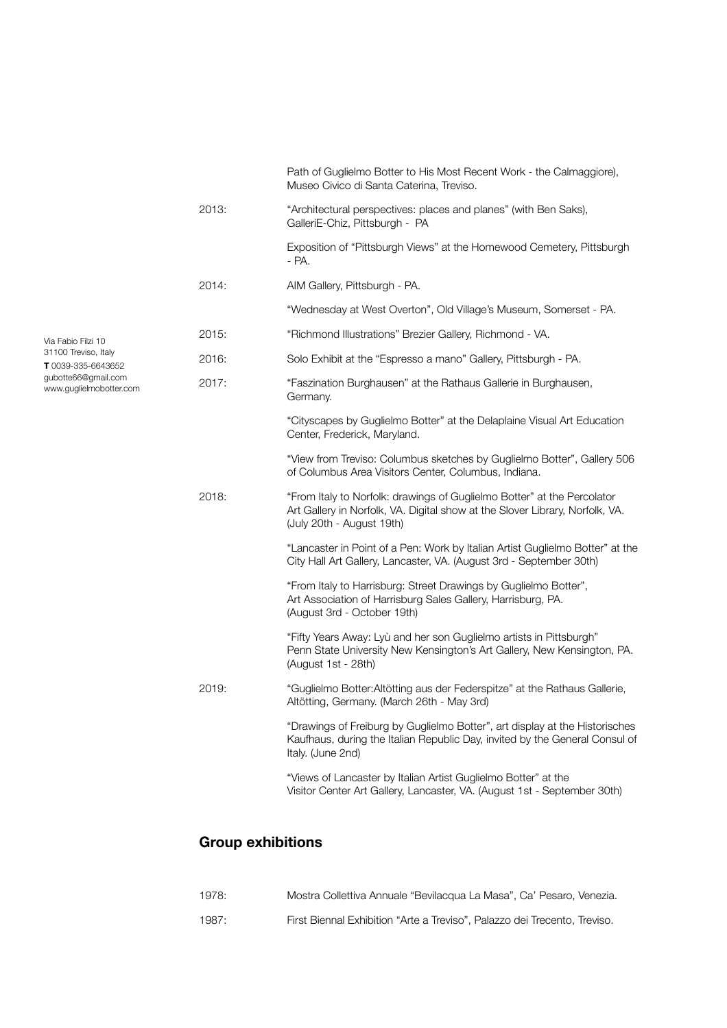|                                                |       | Path of Guglielmo Botter to His Most Recent Work - the Calmaggiore),<br>Museo Civico di Santa Caterina, Treviso.                                                                     |
|------------------------------------------------|-------|--------------------------------------------------------------------------------------------------------------------------------------------------------------------------------------|
|                                                | 2013: | "Architectural perspectives: places and planes" (with Ben Saks),<br>GalleriE-Chiz, Pittsburgh - PA                                                                                   |
|                                                |       | Exposition of "Pittsburgh Views" at the Homewood Cemetery, Pittsburgh<br>- PA.                                                                                                       |
|                                                | 2014: | AIM Gallery, Pittsburgh - PA.                                                                                                                                                        |
|                                                |       | "Wednesday at West Overton", Old Village's Museum, Somerset - PA.                                                                                                                    |
| Via Fabio Filzi 10                             | 2015: | "Richmond Illustrations" Brezier Gallery, Richmond - VA.                                                                                                                             |
| 31100 Treviso, Italy<br>T0039-335-6643652      | 2016: | Solo Exhibit at the "Espresso a mano" Gallery, Pittsburgh - PA.                                                                                                                      |
| gubotte66@gmail.com<br>www.guglielmobotter.com | 2017: | "Faszination Burghausen" at the Rathaus Gallerie in Burghausen,<br>Germany.                                                                                                          |
|                                                |       | "Cityscapes by Guglielmo Botter" at the Delaplaine Visual Art Education<br>Center, Frederick, Maryland.                                                                              |
|                                                |       | "View from Treviso: Columbus sketches by Guglielmo Botter", Gallery 506<br>of Columbus Area Visitors Center, Columbus, Indiana.                                                      |
|                                                | 2018: | "From Italy to Norfolk: drawings of Guglielmo Botter" at the Percolator<br>Art Gallery in Norfolk, VA. Digital show at the Slover Library, Norfolk, VA.<br>(July 20th - August 19th) |
|                                                |       | "Lancaster in Point of a Pen: Work by Italian Artist Guglielmo Botter" at the<br>City Hall Art Gallery, Lancaster, VA. (August 3rd - September 30th)                                 |
|                                                |       | "From Italy to Harrisburg: Street Drawings by Guglielmo Botter",<br>Art Association of Harrisburg Sales Gallery, Harrisburg, PA.<br>(August 3rd - October 19th)                      |
|                                                |       | "Fifty Years Away: Lyù and her son Guglielmo artists in Pittsburgh"<br>Penn State University New Kensington's Art Gallery, New Kensington, PA.<br>(August 1st - 28th)                |
|                                                | 2019: | "Guglielmo Botter:Altötting aus der Federspitze" at the Rathaus Gallerie,<br>Altötting, Germany. (March 26th - May 3rd)                                                              |
|                                                |       | "Drawings of Freiburg by Guglielmo Botter", art display at the Historisches<br>Kaufhaus, during the Italian Republic Day, invited by the General Consul of<br>Italy. (June 2nd)      |
|                                                |       | "Views of Lancaster by Italian Artist Guglielmo Botter" at the<br>Visitor Center Art Gallery, Lancaster, VA. (August 1st - September 30th)                                           |
|                                                |       |                                                                                                                                                                                      |

# **Group exhibitions**

| 1978: | Mostra Collettiva Annuale "Bevilacqua La Masa", Ca' Pesaro, Venezia.      |
|-------|---------------------------------------------------------------------------|
| 1987: | First Biennal Exhibition "Arte a Treviso", Palazzo dei Trecento, Treviso. |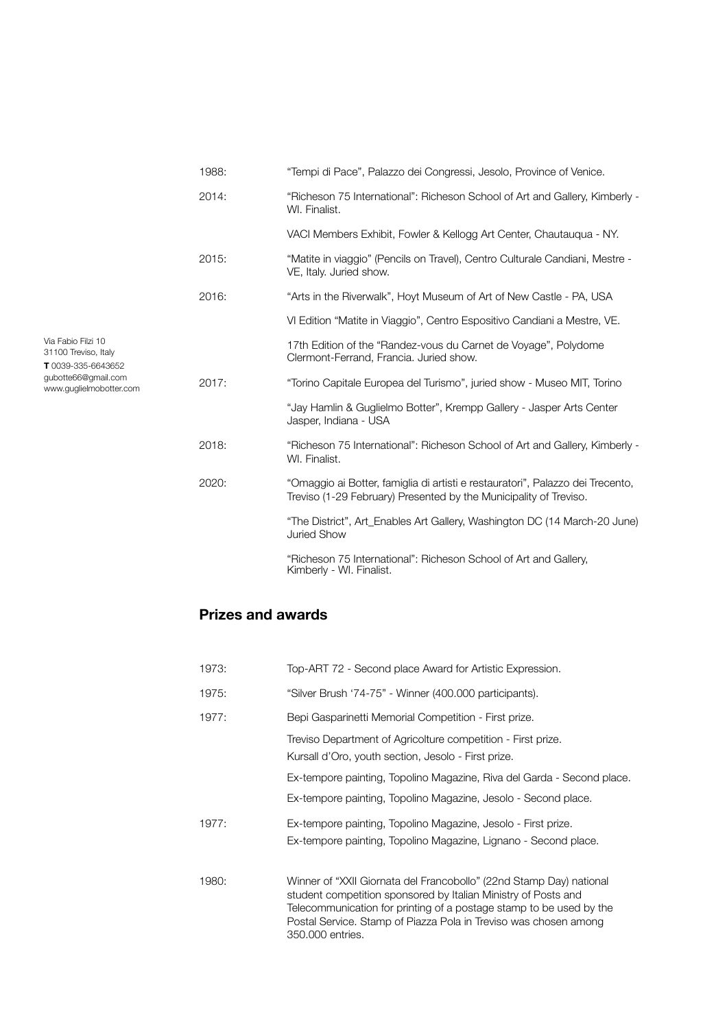|                                                                  | 1988: | "Tempi di Pace", Palazzo dei Congressi, Jesolo, Province of Venice.                                                                                 |
|------------------------------------------------------------------|-------|-----------------------------------------------------------------------------------------------------------------------------------------------------|
|                                                                  | 2014: | "Richeson 75 International": Richeson School of Art and Gallery, Kimberly -<br>WI. Finalist.                                                        |
|                                                                  |       | VACI Members Exhibit, Fowler & Kellogg Art Center, Chautauqua - NY.                                                                                 |
|                                                                  | 2015: | "Matite in viaggio" (Pencils on Travel), Centro Culturale Candiani, Mestre -<br>VE, Italy. Juried show.                                             |
|                                                                  | 2016: | "Arts in the Riverwalk", Hoyt Museum of Art of New Castle - PA, USA                                                                                 |
|                                                                  |       | VI Edition "Matite in Viaggio", Centro Espositivo Candiani a Mestre, VE.                                                                            |
| Via Fabio Filzi 10<br>31100 Treviso, Italy<br>T 0039-335-6643652 |       | 17th Edition of the "Randez-vous du Carnet de Voyage", Polydome<br>Clermont-Ferrand, Francia. Juried show.                                          |
| gubotte66@gmail.com<br>www.guglielmobotter.com                   | 2017: | "Torino Capitale Europea del Turismo", juried show - Museo MIT, Torino                                                                              |
|                                                                  |       | "Jay Hamlin & Guglielmo Botter", Krempp Gallery - Jasper Arts Center<br>Jasper, Indiana - USA                                                       |
|                                                                  | 2018: | "Richeson 75 International": Richeson School of Art and Gallery, Kimberly -<br>WI. Finalist.                                                        |
|                                                                  | 2020: | "Omaggio ai Botter, famiglia di artisti e restauratori", Palazzo dei Trecento,<br>Treviso (1-29 February) Presented by the Municipality of Treviso. |
|                                                                  |       | "The District", Art_Enables Art Gallery, Washington DC (14 March-20 June)<br>Juried Show                                                            |
|                                                                  |       | "Richeson 75 International": Richeson School of Art and Gallery,<br>Kimberly - WI. Finalist.                                                        |

## **Prizes and awards**

| 1973: | Top-ART 72 - Second place Award for Artistic Expression.                                                                                                                                                                                                                                             |
|-------|------------------------------------------------------------------------------------------------------------------------------------------------------------------------------------------------------------------------------------------------------------------------------------------------------|
| 1975: | "Silver Brush '74-75" - Winner (400.000 participants).                                                                                                                                                                                                                                               |
| 1977: | Bepi Gasparinetti Memorial Competition - First prize.                                                                                                                                                                                                                                                |
|       | Treviso Department of Agricolture competition - First prize.<br>Kursall d'Oro, youth section, Jesolo - First prize.                                                                                                                                                                                  |
|       | Ex-tempore painting, Topolino Magazine, Riva del Garda - Second place.                                                                                                                                                                                                                               |
|       | Ex-tempore painting, Topolino Magazine, Jesolo - Second place.                                                                                                                                                                                                                                       |
| 1977: | Ex-tempore painting, Topolino Magazine, Jesolo - First prize.<br>Ex-tempore painting, Topolino Magazine, Lignano - Second place.                                                                                                                                                                     |
| 1980: | Winner of "XXII Giornata del Francobollo" (22nd Stamp Day) national<br>student competition sponsored by Italian Ministry of Posts and<br>Telecommunication for printing of a postage stamp to be used by the<br>Postal Service. Stamp of Piazza Pola in Treviso was chosen among<br>350.000 entries. |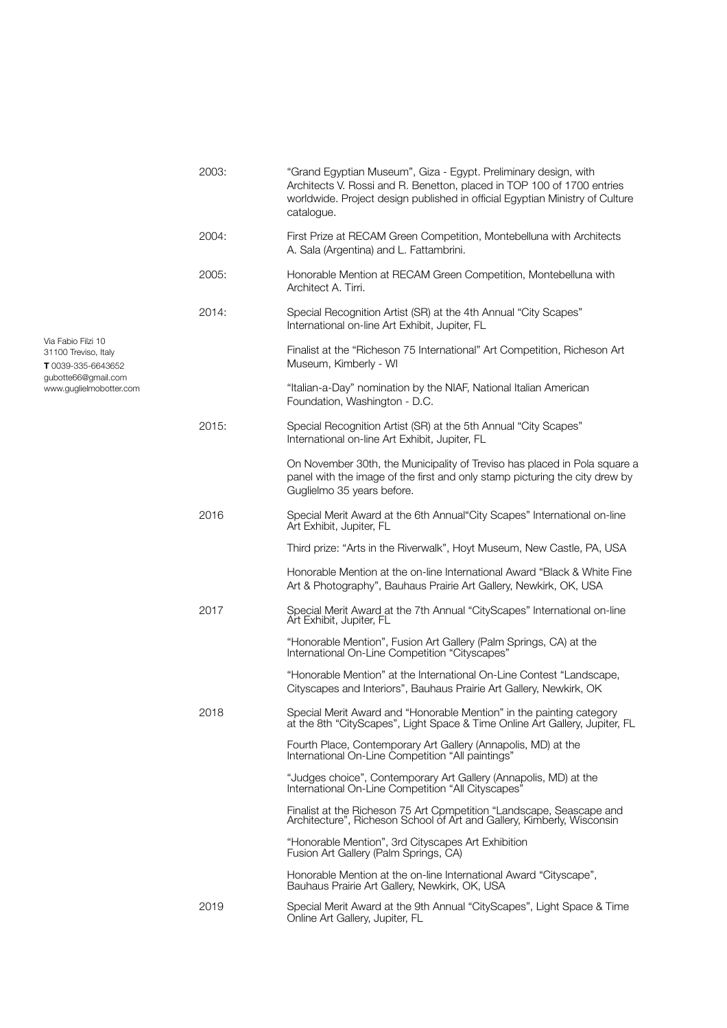|                                                                 | 2003: | "Grand Egyptian Museum", Giza - Egypt. Preliminary design, with<br>Architects V. Rossi and R. Benetton, placed in TOP 100 of 1700 entries<br>worldwide. Project design published in official Egyptian Ministry of Culture<br>catalogue. |
|-----------------------------------------------------------------|-------|-----------------------------------------------------------------------------------------------------------------------------------------------------------------------------------------------------------------------------------------|
|                                                                 | 2004: | First Prize at RECAM Green Competition, Montebelluna with Architects<br>A. Sala (Argentina) and L. Fattambrini.                                                                                                                         |
|                                                                 | 2005: | Honorable Mention at RECAM Green Competition, Montebelluna with<br>Architect A. Tirri.                                                                                                                                                  |
|                                                                 | 2014: | Special Recognition Artist (SR) at the 4th Annual "City Scapes"<br>International on-line Art Exhibit, Jupiter, FL                                                                                                                       |
| Via Fabio Filzi 10<br>31100 Treviso, Italy<br>T0039-335-6643652 |       | Finalist at the "Richeson 75 International" Art Competition, Richeson Art<br>Museum, Kimberly - WI                                                                                                                                      |
| gubotte66@gmail.com<br>www.guglielmobotter.com                  |       | "Italian-a-Day" nomination by the NIAF, National Italian American<br>Foundation, Washington - D.C.                                                                                                                                      |
|                                                                 | 2015: | Special Recognition Artist (SR) at the 5th Annual "City Scapes"<br>International on-line Art Exhibit, Jupiter, FL                                                                                                                       |
|                                                                 |       | On November 30th, the Municipality of Treviso has placed in Pola square a<br>panel with the image of the first and only stamp picturing the city drew by<br>Guglielmo 35 years before.                                                  |
|                                                                 | 2016  | Special Merit Award at the 6th Annual "City Scapes" International on-line<br>Art Exhibit, Jupiter, FL                                                                                                                                   |
|                                                                 |       | Third prize: "Arts in the Riverwalk", Hoyt Museum, New Castle, PA, USA                                                                                                                                                                  |
|                                                                 |       | Honorable Mention at the on-line International Award "Black & White Fine<br>Art & Photography", Bauhaus Prairie Art Gallery, Newkirk, OK, USA                                                                                           |
|                                                                 | 2017  | Special Merit Award at the 7th Annual "CityScapes" International on-line<br>Art Exhibit, Jupiter, FL                                                                                                                                    |
|                                                                 |       | "Honorable Mention", Fusion Art Gallery (Palm Springs, CA) at the<br>International On-Line Competition "Cityscapes"                                                                                                                     |
|                                                                 |       | "Honorable Mention" at the International On-Line Contest "Landscape,<br>Cityscapes and Interiors", Bauhaus Prairie Art Gallery, Newkirk, OK                                                                                             |
|                                                                 | 2018  | Special Merit Award and "Honorable Mention" in the painting category<br>at the 8th "CityScapes", Light Space & Time Online Art Gallery, Jupiter, FL                                                                                     |
|                                                                 |       | Fourth Place, Contemporary Art Gallery (Annapolis, MD) at the<br>International On-Line Competition "All paintings"                                                                                                                      |
|                                                                 |       | "Judges choice", Contemporary Art Gallery (Annapolis, MD) at the<br>International On-Line Competition "All Cityscapes"                                                                                                                  |
|                                                                 |       | Finalist at the Richeson 75 Art Cpmpetition "Landscape, Seascape and<br>Architecture", Richeson School of Art and Gallery, Kimberly, Wisconsin                                                                                          |
|                                                                 |       | "Honorable Mention", 3rd Cityscapes Art Exhibition<br>Fusion Art Gallery (Palm Springs, CA)                                                                                                                                             |
|                                                                 |       | Honorable Mention at the on-line International Award "Cityscape",<br>Bauhaus Prairie Art Gallery, Newkirk, OK, USA                                                                                                                      |
|                                                                 | 2019  | Special Merit Award at the 9th Annual "CityScapes", Light Space & Time<br>Online Art Gallery, Jupiter, FL                                                                                                                               |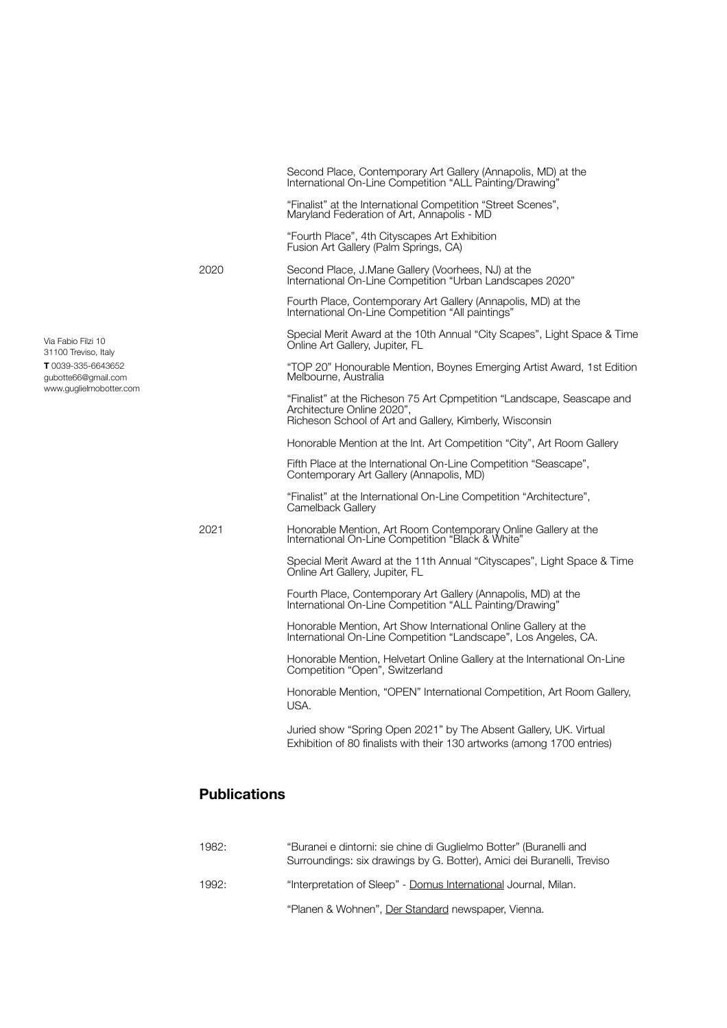|      | Second Place, Contemporary Art Gallery (Annapolis, MD) at the<br>International On-Line Competition "ALL Painting/Drawing"                                       |
|------|-----------------------------------------------------------------------------------------------------------------------------------------------------------------|
|      | "Finalist" at the International Competition "Street Scenes",<br>Maryland Federation of Art, Annapolis - MD                                                      |
|      | "Fourth Place", 4th Cityscapes Art Exhibition<br>Fusion Art Gallery (Palm Springs, CA)                                                                          |
| 2020 | Second Place, J.Mane Gallery (Voorhees, NJ) at the<br>International On-Line Competition "Urban Landscapes 2020"                                                 |
|      | Fourth Place, Contemporary Art Gallery (Annapolis, MD) at the<br>International On-Line Competition "All paintings"                                              |
|      | Special Merit Award at the 10th Annual "City Scapes", Light Space & Time<br>Online Art Gallery, Jupiter, FL                                                     |
|      | "TOP 20" Honourable Mention, Boynes Emerging Artist Award, 1st Edition<br>Melbourne, Australia                                                                  |
|      | "Finalist" at the Richeson 75 Art Cpmpetition "Landscape, Seascape and<br>Architecture Online 2020",<br>Richeson School of Art and Gallery, Kimberly, Wisconsin |
|      | Honorable Mention at the Int. Art Competition "City", Art Room Gallery                                                                                          |
|      | Fifth Place at the International On-Line Competition "Seascape",<br>Contemporary Art Gallery (Annapolis, MD)                                                    |
|      | "Finalist" at the International On-Line Competition "Architecture",<br>Camelback Gallery                                                                        |
| 2021 | Honorable Mention, Art Room Contemporary Online Gallery at the International On-Line Competition "Black & White"                                                |
|      | Special Merit Award at the 11th Annual "Cityscapes", Light Space & Time<br>Online Art Gallery, Jupiter, FL                                                      |
|      | Fourth Place, Contemporary Art Gallery (Annapolis, MD) at the<br>International On-Line Competition "ALL Painting/Drawing"                                       |
|      | Honorable Mention, Art Show International Online Gallery at the<br>International On-Line Competition "Landscape", Los Angeles, CA.                              |
|      | Honorable Mention, Helvetart Online Gallery at the International On-Line<br>Competition "Open", Switzerland                                                     |
|      | Honorable Mention, "OPEN" International Competition, Art Room Gallery,<br>USA.                                                                                  |
|      | Juried show "Spring Open 2021" by The Absent Gallery, UK. Virtual<br>Exhibition of 80 finalists with their 130 artworks (among 1700 entries)                    |
|      |                                                                                                                                                                 |

### **Publications**

| 1982: | "Buranei e dintorni: sie chine di Guglielmo Botter" (Buranelli and<br>Surroundings: six drawings by G. Botter), Amici dei Buranelli, Treviso |
|-------|----------------------------------------------------------------------------------------------------------------------------------------------|
| 1992: | "Interpretation of Sleep" - Domus International Journal, Milan.                                                                              |
|       | "Planen & Wohnen", Der Standard newspaper, Vienna.                                                                                           |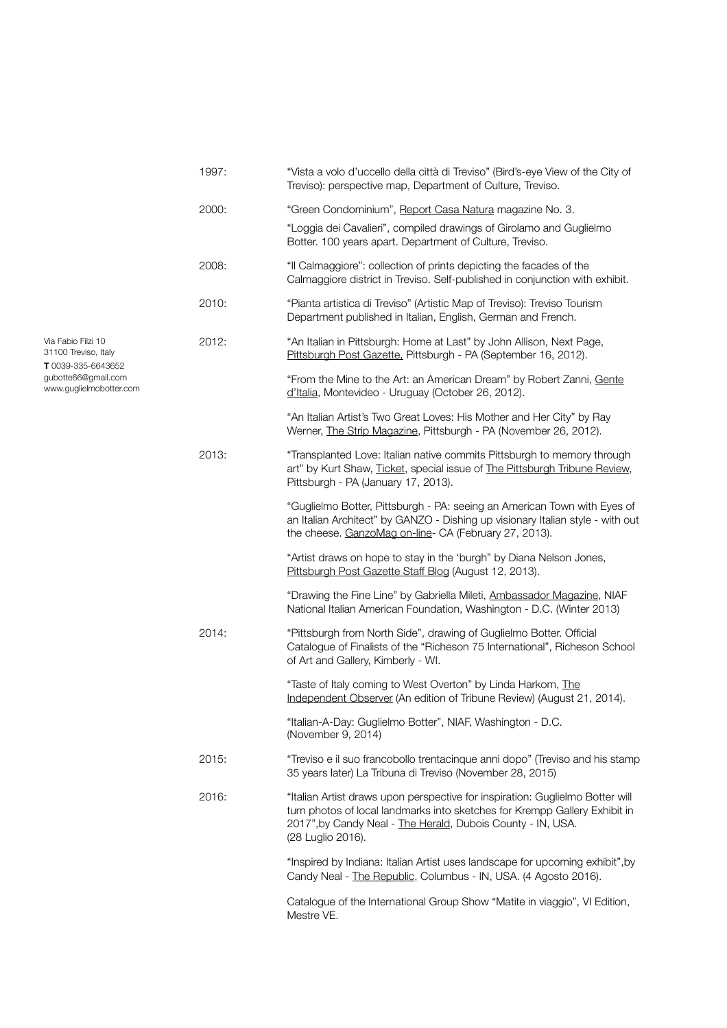|                                                                  | 1997: | "Vista a volo d'uccello della città di Treviso" (Bird's-eye View of the City of<br>Treviso): perspective map, Department of Culture, Treviso.                                                                                                   |
|------------------------------------------------------------------|-------|-------------------------------------------------------------------------------------------------------------------------------------------------------------------------------------------------------------------------------------------------|
|                                                                  | 2000: | "Green Condominium", Report Casa Natura magazine No. 3.<br>"Loggia dei Cavalieri", compiled drawings of Girolamo and Guglielmo<br>Botter. 100 years apart. Department of Culture, Treviso.                                                      |
|                                                                  | 2008: | "Il Calmaggiore": collection of prints depicting the facades of the<br>Calmaggiore district in Treviso. Self-published in conjunction with exhibit.                                                                                             |
|                                                                  | 2010: | "Pianta artistica di Treviso" (Artistic Map of Treviso): Treviso Tourism<br>Department published in Italian, English, German and French.                                                                                                        |
| Via Fabio Filzi 10<br>31100 Treviso, Italy<br>T 0039-335-6643652 | 2012: | "An Italian in Pittsburgh: Home at Last" by John Allison, Next Page,<br>Pittsburgh Post Gazette, Pittsburgh - PA (September 16, 2012).                                                                                                          |
| gubotte66@gmail.com<br>www.guglielmobotter.com                   |       | "From the Mine to the Art: an American Dream" by Robert Zanni, Gente<br>d'Italia, Montevideo - Uruguay (October 26, 2012).                                                                                                                      |
|                                                                  |       | "An Italian Artist's Two Great Loves: His Mother and Her City" by Ray<br>Werner, The Strip Magazine, Pittsburgh - PA (November 26, 2012).                                                                                                       |
|                                                                  | 2013: | "Transplanted Love: Italian native commits Pittsburgh to memory through<br>art" by Kurt Shaw, Ticket, special issue of The Pittsburgh Tribune Review,<br>Pittsburgh - PA (January 17, 2013).                                                    |
|                                                                  |       | "Guglielmo Botter, Pittsburgh - PA: seeing an American Town with Eyes of<br>an Italian Architect" by GANZO - Dishing up visionary Italian style - with out<br>the cheese. GanzoMag on-line- CA (February 27, 2013).                             |
|                                                                  |       | "Artist draws on hope to stay in the 'burgh" by Diana Nelson Jones,<br>Pittsburgh Post Gazette Staff Blog (August 12, 2013).                                                                                                                    |
|                                                                  |       | "Drawing the Fine Line" by Gabriella Mileti, Ambassador Magazine, NIAF<br>National Italian American Foundation, Washington - D.C. (Winter 2013)                                                                                                 |
|                                                                  | 2014: | "Pittsburgh from North Side", drawing of Guglielmo Botter. Official<br>Catalogue of Finalists of the "Richeson 75 International", Richeson School<br>of Art and Gallery, Kimberly - WI.                                                         |
|                                                                  |       | "Taste of Italy coming to West Overton" by Linda Harkom, The<br>Independent Observer (An edition of Tribune Review) (August 21, 2014).                                                                                                          |
|                                                                  |       | "Italian-A-Day: Guglielmo Botter", NIAF, Washington - D.C.<br>(November 9, 2014)                                                                                                                                                                |
|                                                                  | 2015: | "Treviso e il suo francobollo trentacinque anni dopo" (Treviso and his stamp<br>35 years later) La Tribuna di Treviso (November 28, 2015)                                                                                                       |
|                                                                  | 2016: | "Italian Artist draws upon perspective for inspiration: Guglielmo Botter will<br>turn photos of local landmarks into sketches for Krempp Gallery Exhibit in<br>2017", by Candy Neal - The Herald, Dubois County - IN, USA.<br>(28 Luglio 2016). |
|                                                                  |       | "Inspired by Indiana: Italian Artist uses landscape for upcoming exhibit", by<br>Candy Neal - The Republic, Columbus - IN, USA. (4 Agosto 2016).                                                                                                |
|                                                                  |       | Catalogue of the International Group Show "Matite in viaggio", VI Edition,<br>Mestre VE.                                                                                                                                                        |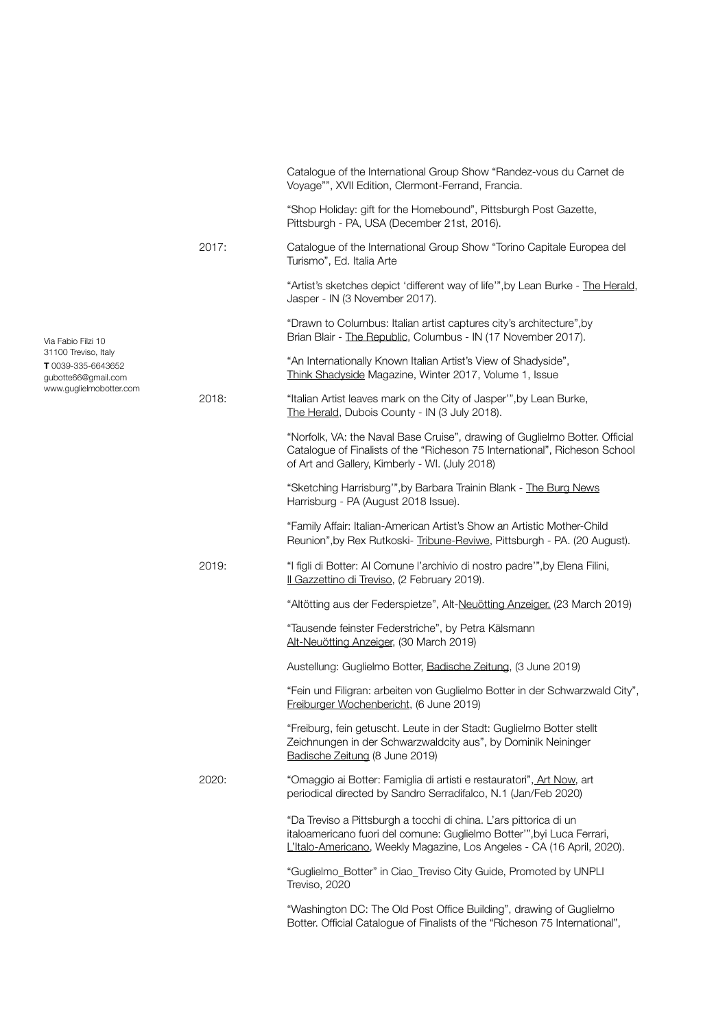| Via Fabio Filzi 10<br>31100 Treviso, Italy<br>T0039-335-6643652<br>gubotte66@gmail.com<br>www.guglielmobotter.com |                | Catalogue of the International Group Show "Randez-vous du Carnet de<br>Voyage"", XVII Edition, Clermont-Ferrand, Francia.                                                                                             |
|-------------------------------------------------------------------------------------------------------------------|----------------|-----------------------------------------------------------------------------------------------------------------------------------------------------------------------------------------------------------------------|
|                                                                                                                   | 2017:<br>2018: | "Shop Holiday: gift for the Homebound", Pittsburgh Post Gazette,<br>Pittsburgh - PA, USA (December 21st, 2016).                                                                                                       |
|                                                                                                                   |                | Catalogue of the International Group Show "Torino Capitale Europea del<br>Turismo", Ed. Italia Arte                                                                                                                   |
|                                                                                                                   |                | "Artist's sketches depict 'different way of life'", by Lean Burke - The Herald,<br>Jasper - IN (3 November 2017).                                                                                                     |
|                                                                                                                   |                | "Drawn to Columbus: Italian artist captures city's architecture", by<br>Brian Blair - The Republic, Columbus - IN (17 November 2017).                                                                                 |
|                                                                                                                   |                | "An Internationally Known Italian Artist's View of Shadyside",<br>Think Shadyside Magazine, Winter 2017, Volume 1, Issue                                                                                              |
|                                                                                                                   |                | "Italian Artist leaves mark on the City of Jasper"", by Lean Burke,<br>The Herald, Dubois County - IN (3 July 2018).                                                                                                  |
|                                                                                                                   |                | "Norfolk, VA: the Naval Base Cruise", drawing of Guglielmo Botter. Official<br>Catalogue of Finalists of the "Richeson 75 International", Richeson School<br>of Art and Gallery, Kimberly - WI. (July 2018)           |
|                                                                                                                   | 2019:<br>2020: | "Sketching Harrisburg"", by Barbara Trainin Blank - The Burg News<br>Harrisburg - PA (August 2018 Issue).                                                                                                             |
|                                                                                                                   |                | "Family Affair: Italian-American Artist's Show an Artistic Mother-Child<br>Reunion", by Rex Rutkoski- Tribune-Reviwe, Pittsburgh - PA. (20 August).                                                                   |
|                                                                                                                   |                | "I figli di Botter: Al Comune l'archivio di nostro padre"", by Elena Filini,<br>Il Gazzettino di Treviso, (2 February 2019).                                                                                          |
|                                                                                                                   |                | "Altötting aus der Federspietze", Alt-Neuötting Anzeiger, (23 March 2019)                                                                                                                                             |
|                                                                                                                   |                | "Tausende feinster Federstriche", by Petra Kälsmann<br>Alt-Neuötting Anzeiger, (30 March 2019)                                                                                                                        |
|                                                                                                                   |                | Austellung: Guglielmo Botter, Badische Zeitung, (3 June 2019)                                                                                                                                                         |
|                                                                                                                   |                | "Fein und Filigran: arbeiten von Guglielmo Botter in der Schwarzwald City",<br>Freiburger Wochenbericht, (6 June 2019)                                                                                                |
|                                                                                                                   |                | "Freiburg, fein getuscht. Leute in der Stadt: Guglielmo Botter stellt<br>Zeichnungen in der Schwarzwaldcity aus", by Dominik Neininger<br>Badische Zeitung (8 June 2019)                                              |
|                                                                                                                   |                | "Omaggio ai Botter: Famiglia di artisti e restauratori", Art Now, art<br>periodical directed by Sandro Serradifalco, N.1 (Jan/Feb 2020)                                                                               |
|                                                                                                                   |                | "Da Treviso a Pittsburgh a tocchi di china. L'ars pittorica di un<br>italoamericano fuori del comune: Guglielmo Botter"", byi Luca Ferrari,<br>L'Italo-Americano, Weekly Magazine, Los Angeles - CA (16 April, 2020). |
|                                                                                                                   |                | "Guglielmo_Botter" in Ciao_Treviso City Guide, Promoted by UNPLI<br>Treviso, 2020                                                                                                                                     |
|                                                                                                                   |                | "Washington DC: The Old Post Office Building", drawing of Guglielmo                                                                                                                                                   |

Botter. Official Catalogue of Finalists of the "Richeson 75 International",